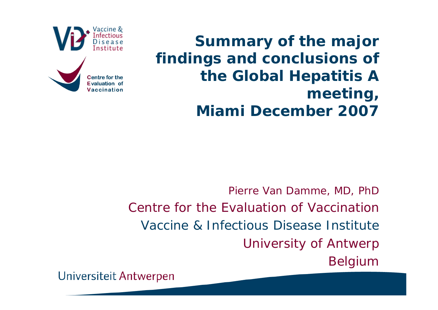

Vaccination

**Summary of the major findings and conclusions of the Global Hepatitis A meeting, Miami December 2007**

Pierre Van Damme, MD, PhD Centre for the Evaluation of VaccinationVaccine & Infectious Disease InstituteUniversity of Antwerp Belgium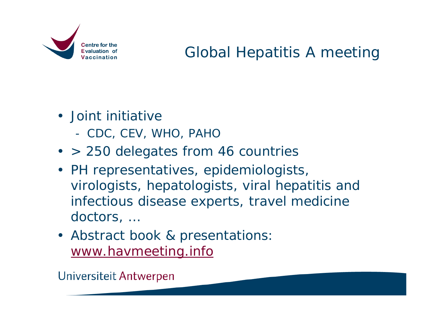

### Global Hepatitis A meeting

- Joint initiative
	- CDC, CEV, WHO, PAHO
- > 250 delegates from 46 countries
- PH representatives, epidemiologists, virologists, hepatologists, viral hepatitis and infectious disease experts, travel medicine doctors, …
- Abstract book & presentations: [www.havmeeting.info](http://www.havmeeting.info/)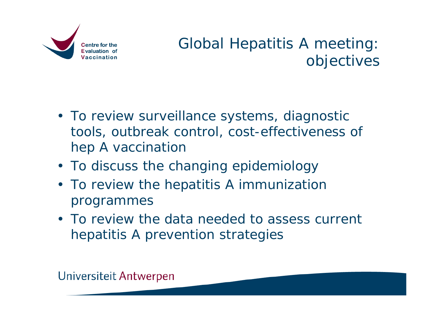

### Global Hepatitis A meeting: objectives

- To review surveillance systems, diagnostic tools, outbreak control, cost-effectiveness of hep A vaccination
- To discuss the changing epidemiology
- To review the hepatitis A immunization programmes
- To review the data needed to assess current hepatitis A prevention strategies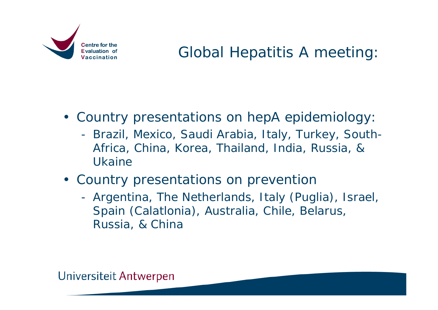

• Country presentations on hepA epidemiology:

- Brazil, Mexico, Saudi Arabia, Italy, Turkey, South-Africa, China, Korea, Thailand, India, Russia, & Ukaine
- Country presentations on prevention
	- Argentina, The Netherlands, Italy (Puglia), Israel, Spain (Calatlonia), Australia, Chile, Belarus, Russia, & China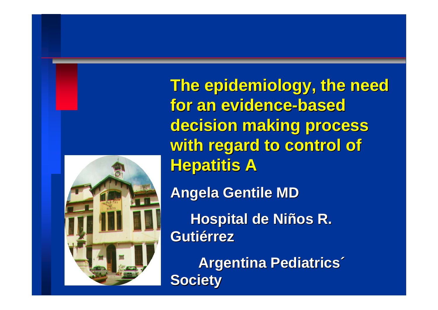

**The epidemiology, the need for an evidence for an evidence-based** decision making process with regard to control of **Hepatitis A** 

**AngelaGentile Gentile MD**

**Hospital de Niños R. Gutiérrez Gutiérrez**

**Argentina Pediatrics<sup>®</sup> Society Society**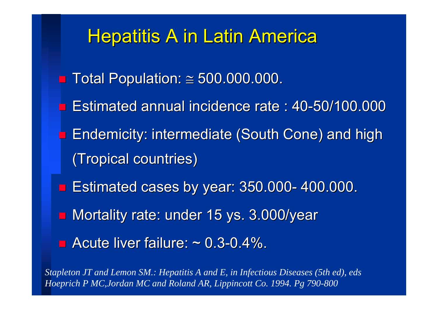### **Hepatitis A in Latin America**

- Total Population: ≅ 500.000.000.
- Estimated annual incidence rate : 40-50/100.000
- Endemicity: intermediate (South Cone) and high Endemicity: intermediate (South Cone) and high (Tropical countries) (Tropical countries)
- $\blacksquare$  Estimated cases by year: 350.000- 400.000.
- **n Mortality rate: under 15 ys. 3.000/year**
- $\blacksquare$  Acute liver failure:  $\sim$  0.3-0.4%.

*Stapleton JT and Lemon SM.: Hepatitis A and E, in Infectious Diseases (5th ed), eds Hoeprich P MC,Jordan MC and Roland AR, Lippincott Co. 1994. Pg 790-800*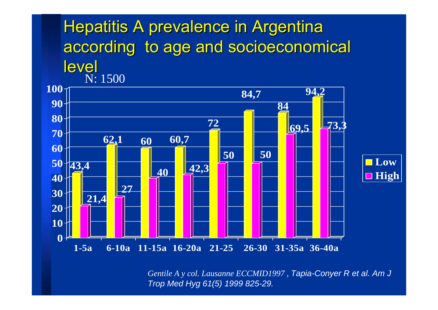### Hepatitis A prevalence in Argentina according to age and socioeconomical level N: 1500



*Gentile A y col. Lausanne ECCMID1997* , *Tapia-Conyer R et al. Am J Trop Med Hyg 61(5) 1999 825-29.*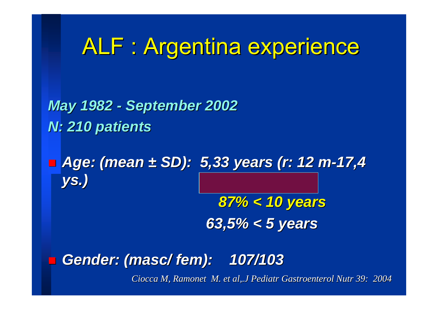# ALF : Argentina experience

*May 1982 - September 2002 N: 210 patients patients*

■ *Age: (mean ± SD): 5,33 years (r: 12 m-17,4 ys.)*

> 87% < 10 years *63,5% < 5 63,5% < 5 years*

*Gender: (masc/ fem): 107/103 ): 107/103*

*Ciocca M, Ramonet M, et al,.J Pediatr Gastroenterol Nutr 39: 2004*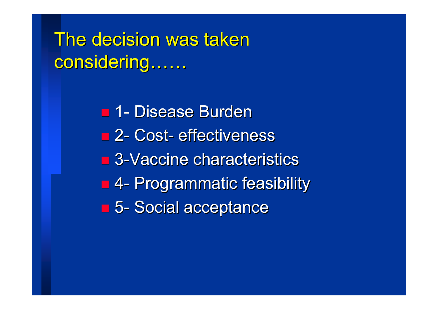The decision was taken considering……

> 1-- Disease Burden ■ 2- Cost-- effectiveness  $\blacksquare$  3-Vaccine characteristics 4 - Programmatic feasibility 5 -- Social acceptance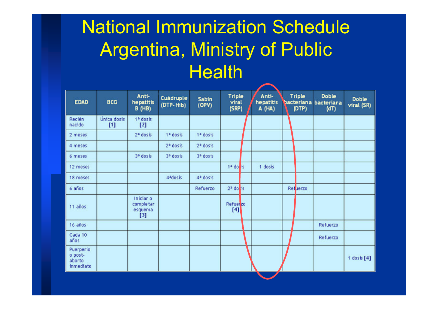## National Immunization Schedule Argentina, Ministry of Public **Health**

| <b>EDAD</b>                                 | <b>BCG</b>           | Anti-<br>hepatitis<br><b>B</b> (HB)       | Cuádruple<br>(DTP-Hib) | <b>Sabin</b><br>(OPV) | <b>Triple</b><br>viral<br>(SRP) | Anti-<br>hepatitis<br>A (HA) | <b>Triple</b><br>(DTP) | <b>Doble</b><br>bacteriana bacteriana<br>(dT) | <b>Doble</b><br>viral (SR) |
|---------------------------------------------|----------------------|-------------------------------------------|------------------------|-----------------------|---------------------------------|------------------------------|------------------------|-----------------------------------------------|----------------------------|
| Recién<br>nacido                            | Única dosis<br>$[1]$ | 1ª dosis<br>[2]                           |                        |                       |                                 |                              |                        |                                               |                            |
| 2 meses                                     |                      | 2ª dosis                                  | 1ª dosis               | 1ª dosis              |                                 |                              |                        |                                               |                            |
| 4 meses                                     |                      |                                           | 2ª dosis               | 2ª dosis              |                                 |                              |                        |                                               |                            |
| 6 meses                                     |                      | 3ª dosis                                  | 3ª dosis               | 3ª dosis              |                                 |                              |                        |                                               |                            |
| 12 meses                                    |                      |                                           |                        |                       | $1a$ do is                      | 1 dosis                      |                        |                                               |                            |
| 18 meses                                    |                      |                                           | 4 <sup>a</sup> dosis   | 4ª dosis              |                                 |                              |                        |                                               |                            |
| $6$ años                                    |                      |                                           |                        | Refuerzo              | $2a$ do is                      |                              | Refuerzo               |                                               |                            |
| 11 años                                     |                      | Iniciar o<br>comple tar<br>esquema<br>[3] |                        |                       | Refuer zo<br>[4]                |                              |                        |                                               |                            |
| 16 años                                     |                      |                                           |                        |                       |                                 |                              |                        | <b>Refuerzo</b>                               |                            |
| Cada 10<br>años                             |                      |                                           |                        |                       |                                 |                              |                        | Refuerzo                                      |                            |
| Puerperio<br>o post-<br>aborto<br>inmediato |                      |                                           |                        |                       |                                 |                              |                        |                                               | 1 dosis $[4]$              |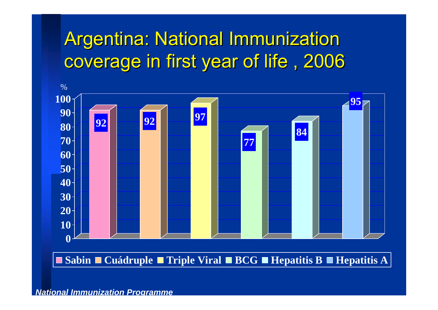## Argentina: National Immunization coverage in first year of life, 2006



**Sabin Cuádruple Triple Viral BCG Hepatitis B Hepatitis A**

#### *National Immunization Programme*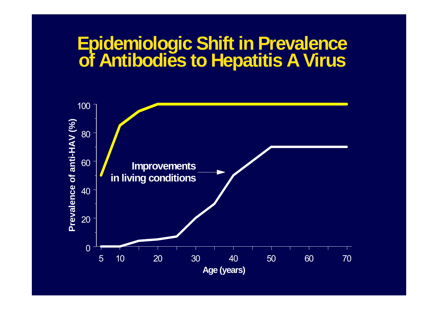# **Epidemiologic Shift in Prevalence of Antibodies to Hepatitis A Virus**

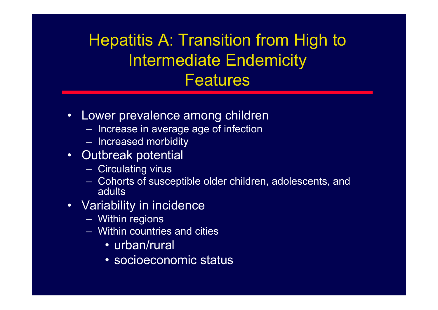### Hepatitis A: Transition from High to Intermediate Endemicity Features

- $\bullet$  Lower prevalence among children
	- $-$  Increase in average age of infection  $\,$
	- Increased morbidity
- Outbreak potential
	- Circulating virus
	- Cohorts of susceptible older children, adolescents, and adults
- Variability in incidence
	- Within regions
	- Within countries and cities
		- urban/rural
		- socioeconomic status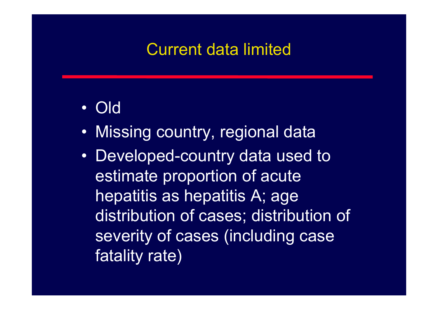### Current data limited

- •Old
- •Missing country, regional data
- Developed-country data used to estimate proportion of acute hepatitis as hepatitis A; age distribution of cases; distribution of severity of cases (including case fatality rate)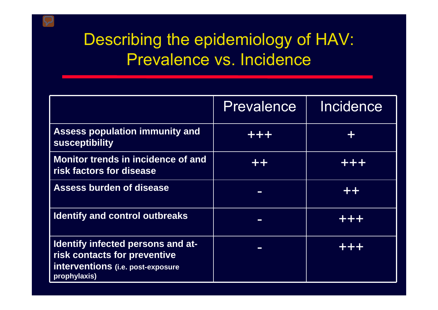### Describing the epidemiology of HAV: Prevalence vs. Incidence

|                                                                                                                        | Prevalence | Incidence |
|------------------------------------------------------------------------------------------------------------------------|------------|-----------|
| <b>Assess population immunity and</b><br>susceptibility                                                                | ╉╺╋╸┽╸     |           |
| Monitor trends in incidence of and<br>risk factors for disease                                                         | -255       |           |
| <b>Assess burden of disease</b>                                                                                        |            | 752       |
| <b>Identify and control outbreaks</b>                                                                                  | ш          | -는 -는 -는  |
| Identify infected persons and at-<br>risk contacts for preventive<br>interventions (i.e. post-exposure<br>prophylaxis) | $\sim$     |           |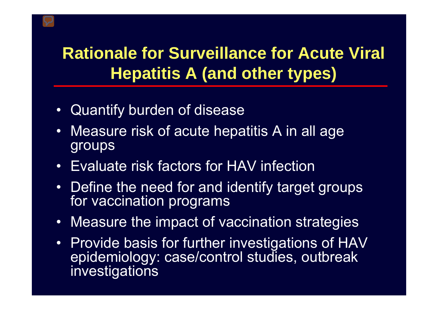### **Rationale for Surveillance for Acute Viral Hepatitis A (and other types)**

- Quantify burden of disease
- • Measure risk of acute hepatitis A in all age groups
- Evaluate risk factors for HAV infection
- Define the need for and identify target groups for vaccination programs
- •Measure the impact of vaccination strategies
- Provide basis for further investigations of HAV epidemiology: case/control studies, outbreak investigations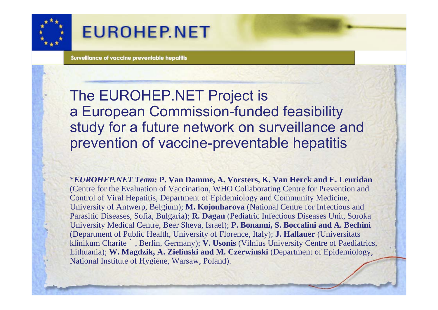

### **EUROHEP.NET**

Survelliance of vaccine preventable hepatitis

The EUROHEP.NET Project is a European Commission-funded feasibility study for a future network on surveillance and prevention of vaccine-preventable hepatitis

\**EUROHEP.NET Team:* **P. Van Damme, A. Vorsters, K. Van Herck and E. Leuridan**  (Centre for the Evaluation of Vaccination, WHO Collaborating Centre for Prevention and Control of Viral Hepatitis, Department of Epidemiology and Community Medicine, University of Antwerp, Belgium); **M. Kojouharova** (National Centre for Infectious and Parasitic Diseases, Sofia, Bulgaria); **R. Dagan** (Pediatric Infectious Diseases Unit, Soroka University Medical Centre, Beer Sheva, Israel); **P. Bonanni, S. Boccalini and A. Bechini**  (Department of Public Health, University of Florence, Italy); **J. Hallauer** (Universitats klinikum Charite ´, Berlin, Germany); **V. Usonis** (Vilnius University Centre of Paediatrics, Lithuania); **W. Magdzik, A. Zielinski and M. Czerwinski** (Department of Epidemiology, National Institute of Hygiene, Warsaw, Poland).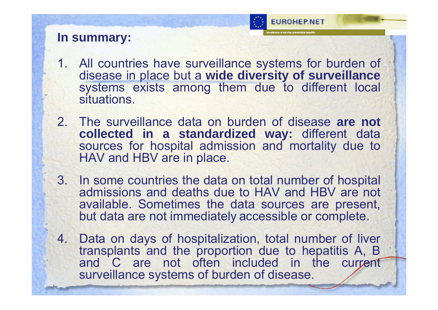

#### **In summary:**

- 1. All countries have surveillance systems for burden of disease in place but a **wide diversity of surveillance**  systems exists among them due to different local situations.
- 2. The surveillance data on burden of disease **are not collected in a standardized way:** different data sources for hospital admission and mortality due to HAV and HBV are in place.
- 3. In some countries the data on total number of hospital admissions and deaths due to HAV and HBV are not available. Sometimes the data sources are present, but data are not immediately accessible or complete.
- 4. Data on days of hospitalization, total number of liver transplants and the proportion due to hepatitis A, B and C are not often included in the current surveillance systems of burden of disease.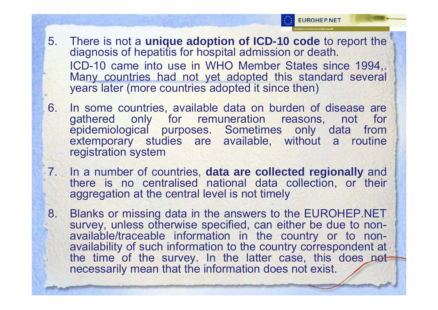

- 5. There is not a **unique adoption of ICD-10 code** to report the diagnosis of hepatitis for hospital admission or death. ICD-10 came into use in WHO Member States since 1994,. Many countries had not yet adopted this standard several years later (more countries adopted it since then)
- 6. In some countries, available data on burden of disease are gathered only for remuneration reasons, not for epidemiological purposes. Sometimes only data from extemporary studies are available, without a routine registration system
- 7. In a number of countries, **data are collected regionally** and there is no centralised national data collection, or their aggregation at the central level is not timely
- 8. Blanks or missing data in the answers to the EUROHEP.NET survey, unless otherwise specified, can either be due to nonavailable/traceable information in the country or to nonavailability of such information to the country correspondent at the time of the survey. In the latter case, this does not necessarily mean that the information does not exist.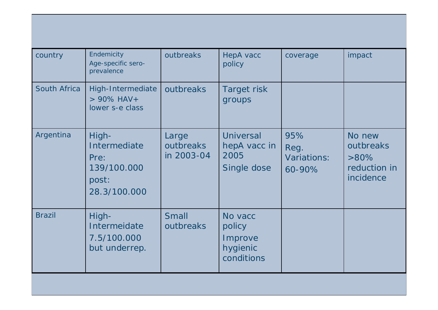| country       | Endemicity<br>Age-specific sero-<br>prevalence                        | outbreaks                        | HepA vacc<br>policy                                     | coverage                                    | impact                                                      |
|---------------|-----------------------------------------------------------------------|----------------------------------|---------------------------------------------------------|---------------------------------------------|-------------------------------------------------------------|
| South Africa  | High-Intermediate<br>$> 90\%$ HAV +<br>lower s-e class                | outbreaks                        | Target risk<br>groups                                   |                                             |                                                             |
| Argentina     | High-<br>Intermediate<br>Pre:<br>139/100.000<br>post:<br>28.3/100.000 | Large<br>outbreaks<br>in 2003-04 | <b>Universal</b><br>hepA vacc in<br>2005<br>Single dose | 95%<br>Reg.<br><b>Variations:</b><br>60-90% | No new<br>outbreaks<br>$>80\%$<br>reduction in<br>incidence |
| <b>Brazil</b> | High-<br>Intermeidate<br>7.5/100.000<br>but underrep.                 | <b>Small</b><br>outbreaks        | No vacc<br>policy<br>Improve<br>hygienic<br>conditions  |                                             |                                                             |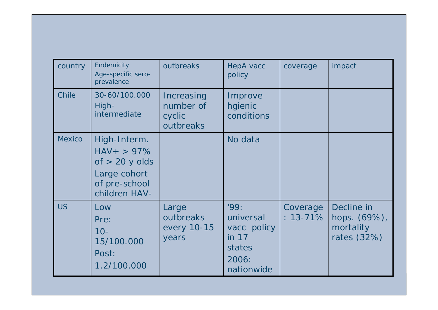| country       | Endemicity<br>Age-specific sero-<br>prevalence                                                       | outbreaks                                      | HepA vacc<br>policy                                                        | coverage                  | impact                                                    |
|---------------|------------------------------------------------------------------------------------------------------|------------------------------------------------|----------------------------------------------------------------------------|---------------------------|-----------------------------------------------------------|
| <b>Chile</b>  | 30-60/100.000<br>High-<br>intermediate                                                               | Increasing<br>number of<br>cyclic<br>outbreaks | Improve<br>hgienic<br>conditions                                           |                           |                                                           |
| <b>Mexico</b> | High-Interm.<br>$HAV + > 97\%$<br>of $> 20$ y olds<br>Large cohort<br>of pre-school<br>children HAV- |                                                | No data                                                                    |                           |                                                           |
| <b>US</b>     | Low<br>Pre:<br>$10 -$<br>15/100.000<br>Post:<br>1.2/100.000                                          | Large<br>outbreaks<br>every 10-15<br>years     | '99:<br>universal<br>vacc policy<br>in 17<br>states<br>2006:<br>nationwide | Coverage<br>$: 13 - 71\%$ | Decline in<br>hops. $(69%)$ ,<br>mortality<br>rates (32%) |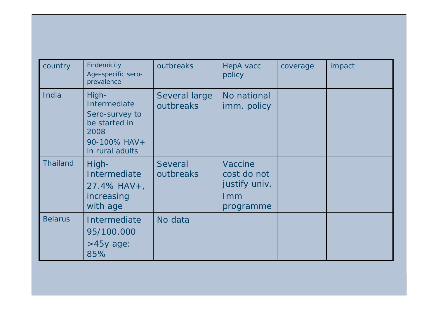| country         | Endemicity<br>Age-specific sero-<br>prevalence                                                      | outbreaks                   | <b>HepA</b> vacc<br>policy                                         | coverage | impact |
|-----------------|-----------------------------------------------------------------------------------------------------|-----------------------------|--------------------------------------------------------------------|----------|--------|
| India           | High-<br>Intermediate<br>Sero-survey to<br>be started in<br>2008<br>90-100% HAV+<br>in rural adults | Several large<br>outbreaks  | No national<br>imm. policy                                         |          |        |
| <b>Thailand</b> | High-<br>Intermediate<br>27.4% HAV +,<br>increasing<br>with age                                     | <b>Several</b><br>outbreaks | <b>Vaccine</b><br>cost do not<br>justify univ.<br>Imm<br>programme |          |        |
| <b>Belarus</b>  | Intermediate<br>95/100.000<br>$>45y$ age:<br>85%                                                    | No data                     |                                                                    |          |        |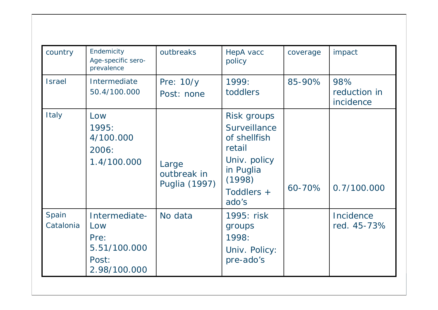| country            | Endemicity<br>Age-specific sero-<br>prevalence                        | outbreaks                             | HepA vacc<br>policy                                                                                                        | coverage | impact                           |
|--------------------|-----------------------------------------------------------------------|---------------------------------------|----------------------------------------------------------------------------------------------------------------------------|----------|----------------------------------|
| <b>Israel</b>      | Intermediate<br>50.4/100.000                                          | Pre: 10/y<br>Post: none               | 1999:<br>toddlers                                                                                                          | 85-90%   | 98%<br>reduction in<br>incidence |
| Italy              | Low<br>1995:<br>4/100.000<br>2006:<br>1.4/100.000                     | Large<br>outbreak in<br>Puglia (1997) | Risk groups<br><b>Surveillance</b><br>of shellfish<br>retail<br>Univ. policy<br>in Puglia<br>(1998)<br>Toddlers +<br>ado's | 60-70%   | 0.7/100.000                      |
| Spain<br>Catalonia | Intermediate-<br>Low<br>Pre:<br>5.51/100.000<br>Post:<br>2.98/100.000 | No data                               | 1995: risk<br>groups<br>1998:<br>Univ. Policy:<br>pre-ado's                                                                |          | Incidence<br>red. 45-73%         |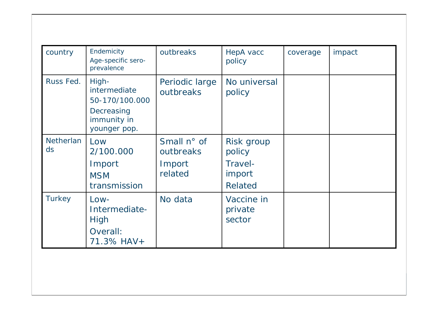| country                | Endemicity<br>Age-specific sero-<br>prevalence                                       | outbreaks                                     | HepA vacc<br>policy                                  | coverage | impact |
|------------------------|--------------------------------------------------------------------------------------|-----------------------------------------------|------------------------------------------------------|----------|--------|
| Russ Fed.              | High-<br>intermediate<br>50-170/100.000<br>Decreasing<br>immunity in<br>younger pop. | Periodic large<br>outbreaks                   | No universal<br>policy                               |          |        |
| <b>Netherlan</b><br>ds | Low<br>2/100.000<br>Import<br><b>MSM</b><br>transmission                             | Small n° of<br>outbreaks<br>Import<br>related | Risk group<br>policy<br>Travel-<br>import<br>Related |          |        |
| <b>Turkey</b>          | $Low-$<br>Intermediate-<br>High<br>Overall:<br>71.3% HAV+                            | No data                                       | Vaccine in<br>private<br>sector                      |          |        |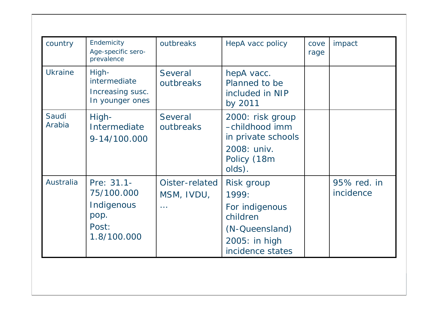| country         | Endemicity<br>Age-specific sero-<br>prevalence                         | outbreaks                                 | HepA vacc policy                                                                                         | cove<br>rage | impact                   |
|-----------------|------------------------------------------------------------------------|-------------------------------------------|----------------------------------------------------------------------------------------------------------|--------------|--------------------------|
| <b>Ukraine</b>  | High-<br>intermediate<br>Increasing susc.<br>In younger ones           | <b>Several</b><br>outbreaks               | hepA vacc.<br>Planned to be<br>included in NIP<br>by 2011                                                |              |                          |
| Saudi<br>Arabia | High-<br>Intermediate<br>9-14/100.000                                  | <b>Several</b><br>outbreaks               | 2000: risk group<br>-childhood imm<br>in private schools<br>2008: univ.<br>Policy (18m<br>olds).         |              |                          |
| Australia       | Pre: 31.1-<br>75/100.000<br>Indigenous<br>pop.<br>Post:<br>1.8/100.000 | Oister-related<br>MSM, IVDU,<br>$\ddotsc$ | Risk group<br>1999:<br>For indigenous<br>children<br>(N-Queensland)<br>2005: in high<br>incidence states |              | 95% red. in<br>incidence |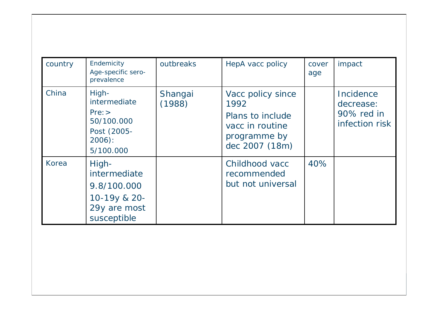| country | Endemicity<br>Age-specific sero-<br>prevalence                                      | outbreaks         | HepA vacc policy                                                                                   | cover<br>age | impact                                                 |
|---------|-------------------------------------------------------------------------------------|-------------------|----------------------------------------------------------------------------------------------------|--------------|--------------------------------------------------------|
| China   | High-<br>intermediate<br>Pre:<br>50/100.000<br>Post (2005-<br>$2006$ :<br>5/100.000 | Shangai<br>(1988) | Vacc policy since<br>1992<br>Plans to include<br>vacc in routine<br>programme by<br>dec 2007 (18m) |              | Incidence<br>decrease:<br>90% red in<br>infection risk |
| Korea   | High-<br>intermediate<br>9.8/100.000<br>10-19y & 20-<br>29y are most<br>susceptible |                   | Childhood vacc<br>recommended<br>but not universal                                                 | 40%          |                                                        |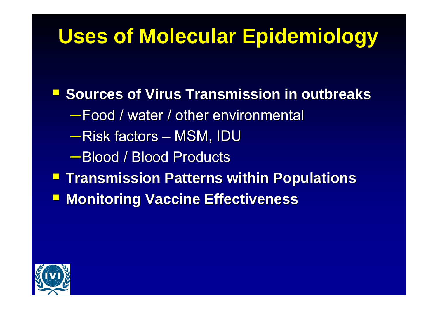# **Uses of Molecular Epidemiology**

**Sources of Virus Transmission in outbreaks** –Food / water / other environmental Food / water / other environmental –Risk factors – – MSM, IDU –Blood / Blood Products Blood / Blood Products**Transmission Patterns within Populations E** Monitoring Vaccine Effectiveness

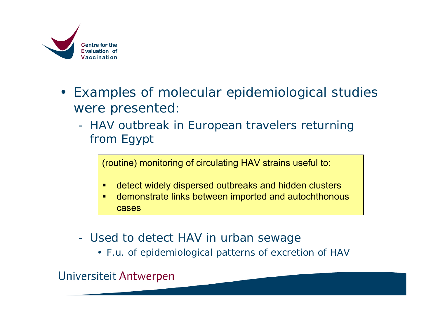

- Examples of molecular epidemiological studies were presented:
	- HAV outbreak in European travelers returning from Egypt

(routine) monitoring of circulating HAV strains useful to:

- п detect widely dispersed outbreaks and hidden clusters
- $\blacksquare$  demonstrate links between imported and autochthonous cases
- Used to detect HAV in urban sewage
	- F.u. of epidemiological patterns of excretion of HAV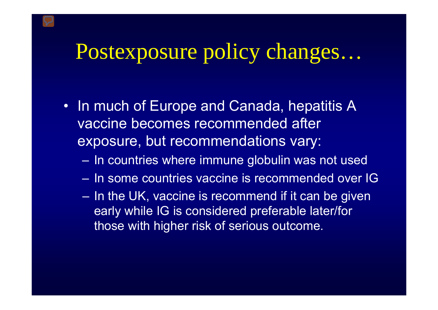# Postexposure policy changes…

- In much of Europe and Canada, hepatitis A vaccine becomes recommended after exposure, but recommendations vary:
	- $-$  In countries where immune globulin was not used
	- In some countries vaccine is recommended over IG
	- $-$  In the UK, vaccine is recommend if it can be given early while IG is considered preferable later/for those with higher risk of serious outcome.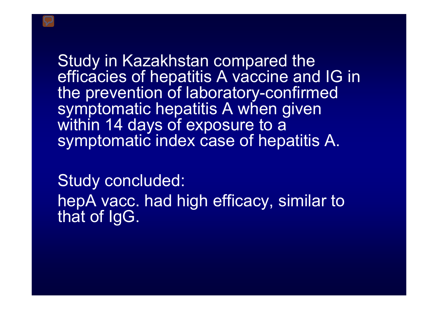Study in Kazakhstan compared the efficacies of hepatitis A vaccine and IG in the prevention of laboratory-confirmed symptomatic hepatitis A when given within 14 days of exposure to a symptomatic index case of hepatitis A.

Study concluded: hepA vacc. had high efficacy, similar to that of IgG.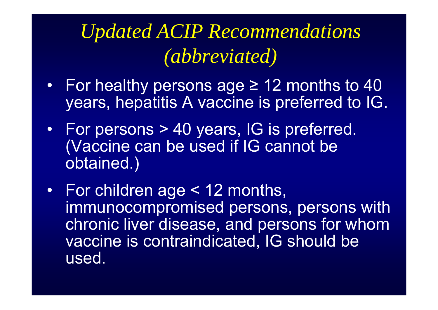# *Updated ACIP Recommendations (abbreviated)*

- For healthy persons age ≥ 12 months to 40 years, hepatitis A vaccine is preferred to IG.
- • For persons > 40 years, IG is preferred. (Vaccine can be used if IG cannot be obtained.)
- For children age < 12 months, immunocompromised persons, persons with chronic liver disease, and persons for whom vaccine is contraindicated, IG should be used.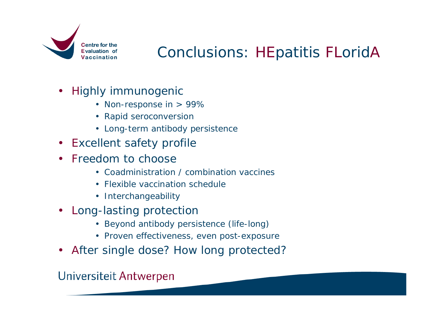

### Conclusions: HEpatitis FLoridA

- Highly immunogenic
	- Non-response in > 99%
	- Rapid seroconversion
	- Long-term antibody persistence
- Excellent safety profile
- Freedom to choose
	- Coadministration / combination vaccines
	- Flexible vaccination schedule
	- Interchangeability
- Long-lasting protection
	- Beyond antibody persistence (life-long)
	- Proven effectiveness, even post-exposure
- After single dose? How long protected?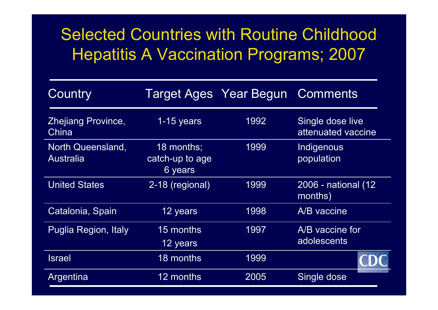### Selected Countries with Routine Childhood Hepatitis A Vaccination Programs; 2007

| Country                                      |                                          | <b>Target Ages Year Begun Comments</b> |                                        |
|----------------------------------------------|------------------------------------------|----------------------------------------|----------------------------------------|
| Zhejiang Province,<br>China                  | $1-15$ years                             | 1992                                   | Single dose live<br>attenuated vaccine |
| <b>North Queensland,</b><br><b>Australia</b> | 18 months;<br>catch-up to age<br>6 years | 1999                                   | Indigenous<br>population               |
| <b>United States</b>                         | 2-18 (regional)                          | 1999                                   | 2006 - national (12)<br>months)        |
| Catalonia, Spain                             | 12 years                                 | 1998                                   | A/B vaccine                            |
| <b>Puglia Region, Italy</b>                  | 15 months<br>12 years                    | 1997                                   | A/B vaccine for<br>adolescents         |
| <b>Israel</b>                                | 18 months                                | 1999                                   |                                        |
| Argentina                                    | 12 months                                | 2005                                   | Single dose                            |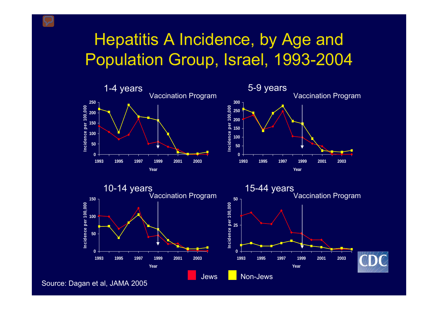### Hepatitis A Incidence, by Age and Population Group, Israel, 1993-2004



Source: Dagan et al, JAMA 2005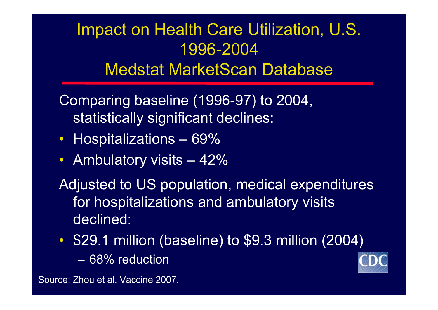### Impact on Health Care Utilization, U.S. 1996-2004Medstat MarketScan Database

Comparing baseline (1996-97) to 2004, statistically significant declines:

- Hospitalizations 69%
- $\bullet$ Ambulatory visits – 42%

Adjusted to US population, medical expenditures for hospitalizations and ambulatory visits declined:

 $\bullet$  \$29.1 million (baseline) to \$9.3 million (2004) – 68% reduction



Source: Zhou et al. Vaccine 2007.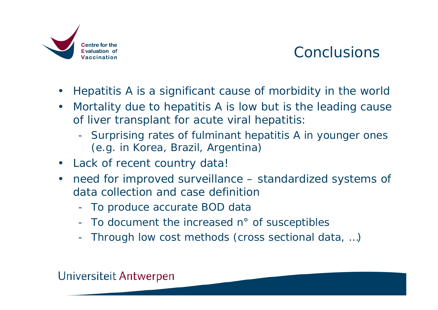

### **Conclusions**

- Hepatitis A is a significant cause of morbidity in the world
- Mortality due to hepatitis A is low but is the leading cause of liver transplant for acute viral hepatitis:
	- Surprising rates of fulminant hepatitis A in younger ones (e.g. in Korea, Brazil, Argentina)
- Lack of recent country data!
- need for improved surveillance standardized systems of data collection and case definition
	- To produce accurate BOD data
	- To document the increased n° of susceptibles
	- Through low cost methods (cross sectional data, …)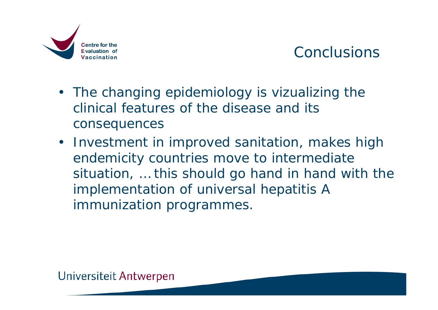

### **Conclusions**

- The changing epidemiology is vizualizing the clinical features of the disease and its consequences
- Investment in improved sanitation, makes high endemicity countries move to intermediate situation, … this should go hand in hand with the implementation of universal hepatitis A immunization programmes.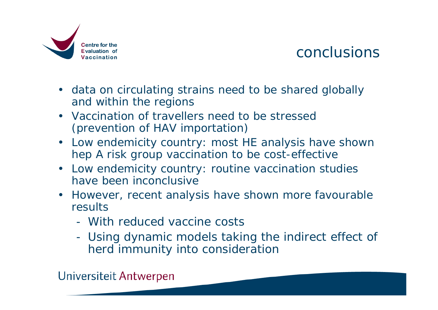

### conclusions

- data on circulating strains need to be shared globally and within the regions
- Vaccination of travellers need to be stressed (prevention of HAV importation)
- Low endemicity country: most HE analysis have shown hep A risk group vaccination to be cost-effective
- Low endemicity country: routine vaccination studies have been inconclusive
- However, recent analysis have shown more favourable results
	- With reduced vaccine costs
	- Using dynamic models taking the indirect effect of herd immunity into consideration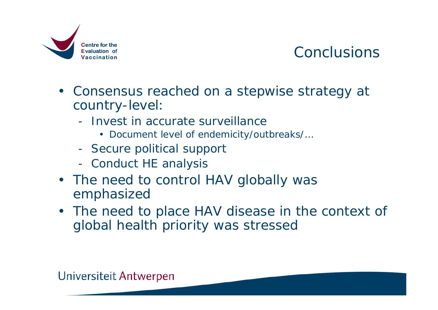

### **Conclusions**

- Consensus reached on a stepwise strategy at country-level:
	- Invest in accurate surveillance
		- Document level of endemicity/outbreaks/…
	- Secure political support
	- Conduct HE analysis
- The need to control HAV globally was emphasized
- The need to place HAV disease in the context of global health priority was stressed